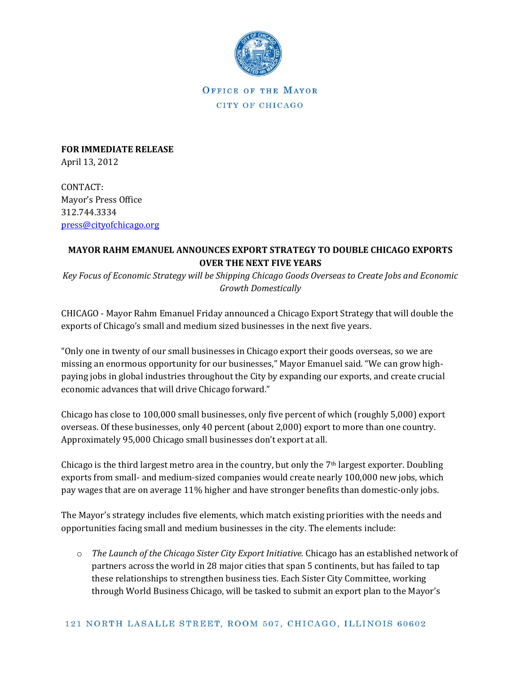

OFFICE OF THE MAYOR CITY OF CHICAGO

**FOR IMMEDIATE RELEASE** April 13, 2012

CONTACT: Mayor's Press Office 312.744.3334 [press@cityofchicago.org](mailto:press@cityofchicago.org)

## **MAYOR RAHM EMANUEL ANNOUNCES EXPORT STRATEGY TO DOUBLE CHICAGO EXPORTS OVER THE NEXT FIVE YEARS**

*Key Focus of Economic Strategy will be Shipping Chicago Goods Overseas to Create Jobs and Economic Growth Domestically*

CHICAGO - Mayor Rahm Emanuel Friday announced a Chicago Export Strategy that will double the exports of Chicago's small and medium sized businesses in the next five years.

"Only one in twenty of our small businesses in Chicago export their goods overseas, so we are missing an enormous opportunity for our businesses," Mayor Emanuel said. "We can grow highpaying jobs in global industries throughout the City by expanding our exports, and create crucial economic advances that will drive Chicago forward."

Chicago has close to 100,000 small businesses, only five percent of which (roughly 5,000) export overseas. Of these businesses, only 40 percent (about 2,000) export to more than one country. Approximately 95,000 Chicago small businesses don't export at all.

Chicago is the third largest metro area in the country, but only the 7<sup>th</sup> largest exporter. Doubling exports from small- and medium-sized companies would create nearly 100,000 new jobs, which pay wages that are on average 11% higher and have stronger benefits than domestic-only jobs.

The Mayor's strategy includes five elements, which match existing priorities with the needs and opportunities facing small and medium businesses in the city. The elements include:

o *The Launch of the Chicago Sister City Export Initiative.* Chicago has an established network of partners across the world in 28 major cities that span 5 continents, but has failed to tap these relationships to strengthen business ties. Each Sister City Committee, working through World Business Chicago, will be tasked to submit an export plan to the Mayor's